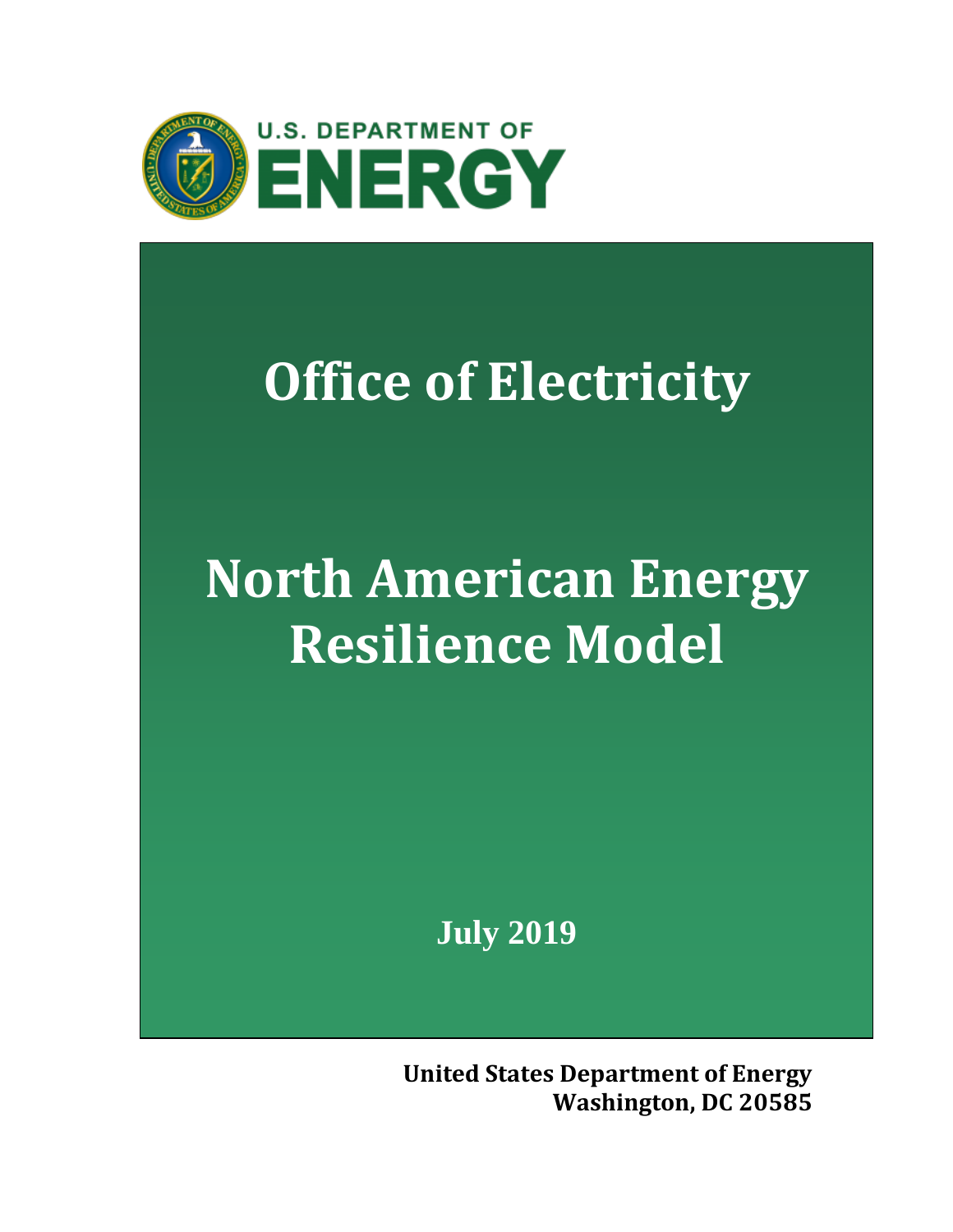

## **Office of Electricity**

# **North American Energy Resilience Model**

**July 2019**

**United States Department of Energy Washington, DC 20585**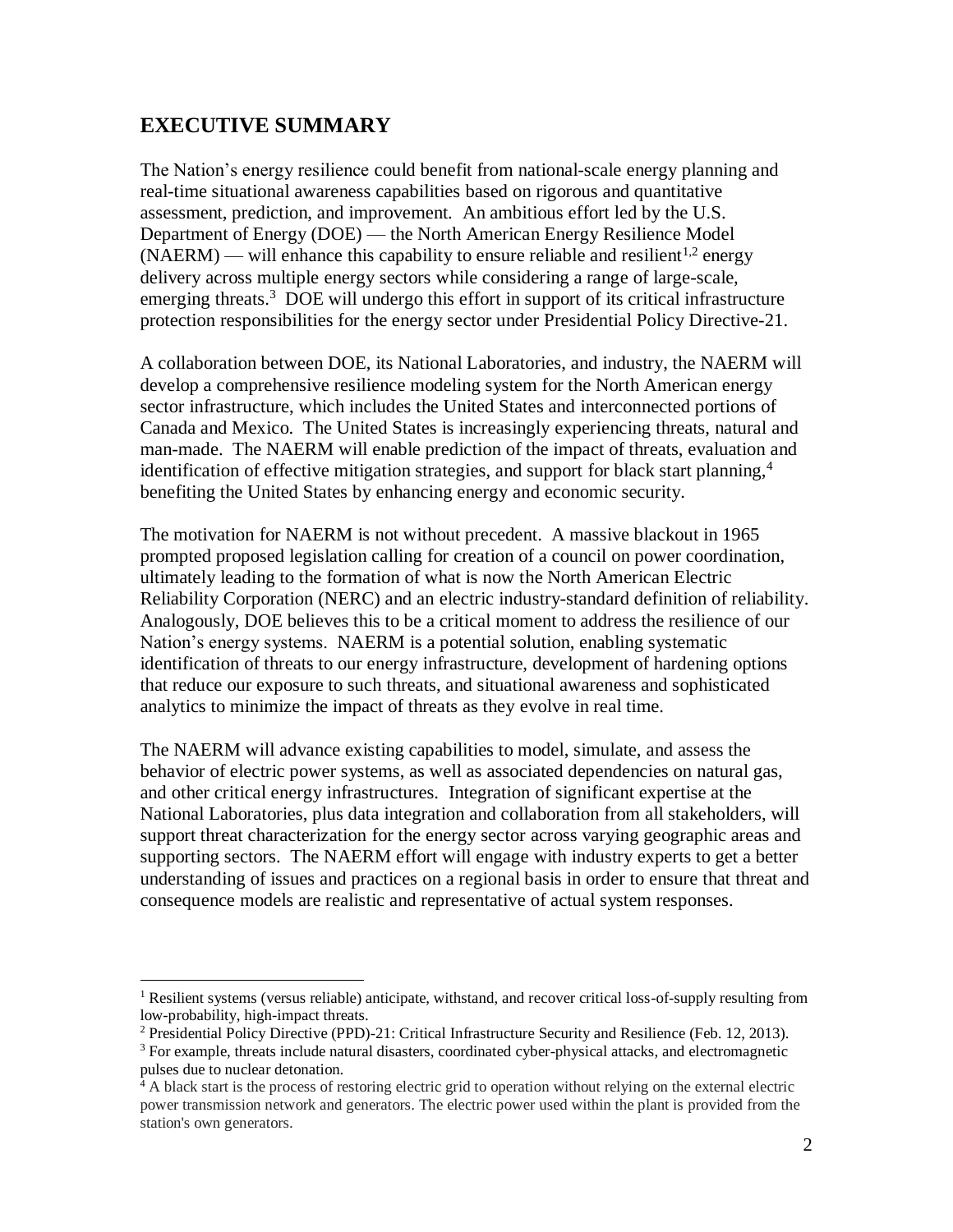### **EXECUTIVE SUMMARY**

 $\overline{a}$ 

The Nation's energy resilience could benefit from national-scale energy planning and real-time situational awareness capabilities based on rigorous and quantitative assessment, prediction, and improvement. An ambitious effort led by the U.S. Department of Energy (DOE) — the North American Energy Resilience Model  $(NAERM)$  — will enhance this capability to ensure reliable and resilient<sup>1,2</sup> energy delivery across multiple energy sectors while considering a range of large-scale, emerging threats.<sup>3</sup> DOE will undergo this effort in support of its critical infrastructure protection responsibilities for the energy sector under Presidential Policy Directive-21.

A collaboration between DOE, its National Laboratories, and industry, the NAERM will develop a comprehensive resilience modeling system for the North American energy sector infrastructure, which includes the United States and interconnected portions of Canada and Mexico. The United States is increasingly experiencing threats, natural and man-made. The NAERM will enable prediction of the impact of threats, evaluation and identification of effective mitigation strategies, and support for black start planning, 4 benefiting the United States by enhancing energy and economic security.

The motivation for NAERM is not without precedent. A massive blackout in 1965 prompted proposed legislation calling for creation of a council on power coordination, ultimately leading to the formation of what is now the North American Electric Reliability Corporation (NERC) and an electric industry-standard definition of reliability. Analogously, DOE believes this to be a critical moment to address the resilience of our Nation's energy systems. NAERM is a potential solution, enabling systematic identification of threats to our energy infrastructure, development of hardening options that reduce our exposure to such threats, and situational awareness and sophisticated analytics to minimize the impact of threats as they evolve in real time.

The NAERM will advance existing capabilities to model, simulate, and assess the behavior of electric power systems, as well as associated dependencies on natural gas, and other critical energy infrastructures. Integration of significant expertise at the National Laboratories, plus data integration and collaboration from all stakeholders, will support threat characterization for the energy sector across varying geographic areas and supporting sectors. The NAERM effort will engage with industry experts to get a better understanding of issues and practices on a regional basis in order to ensure that threat and consequence models are realistic and representative of actual system responses.

<sup>&</sup>lt;sup>1</sup> Resilient systems (versus reliable) anticipate, withstand, and recover critical loss-of-supply resulting from low-probability, high-impact threats.

<sup>&</sup>lt;sup>2</sup> Presidential Policy Directive (PPD)-21: Critical Infrastructure Security and Resilience (Feb. 12, 2013).

<sup>&</sup>lt;sup>3</sup> For example, threats include natural disasters, coordinated cyber-physical attacks, and electromagnetic pulses due to nuclear detonation.

<sup>&</sup>lt;sup>4</sup> A black start is the process of restoring electric grid to operation without relying on the external electric power transmission network and generators. The electric power used within the plant is provided from the station's own generators.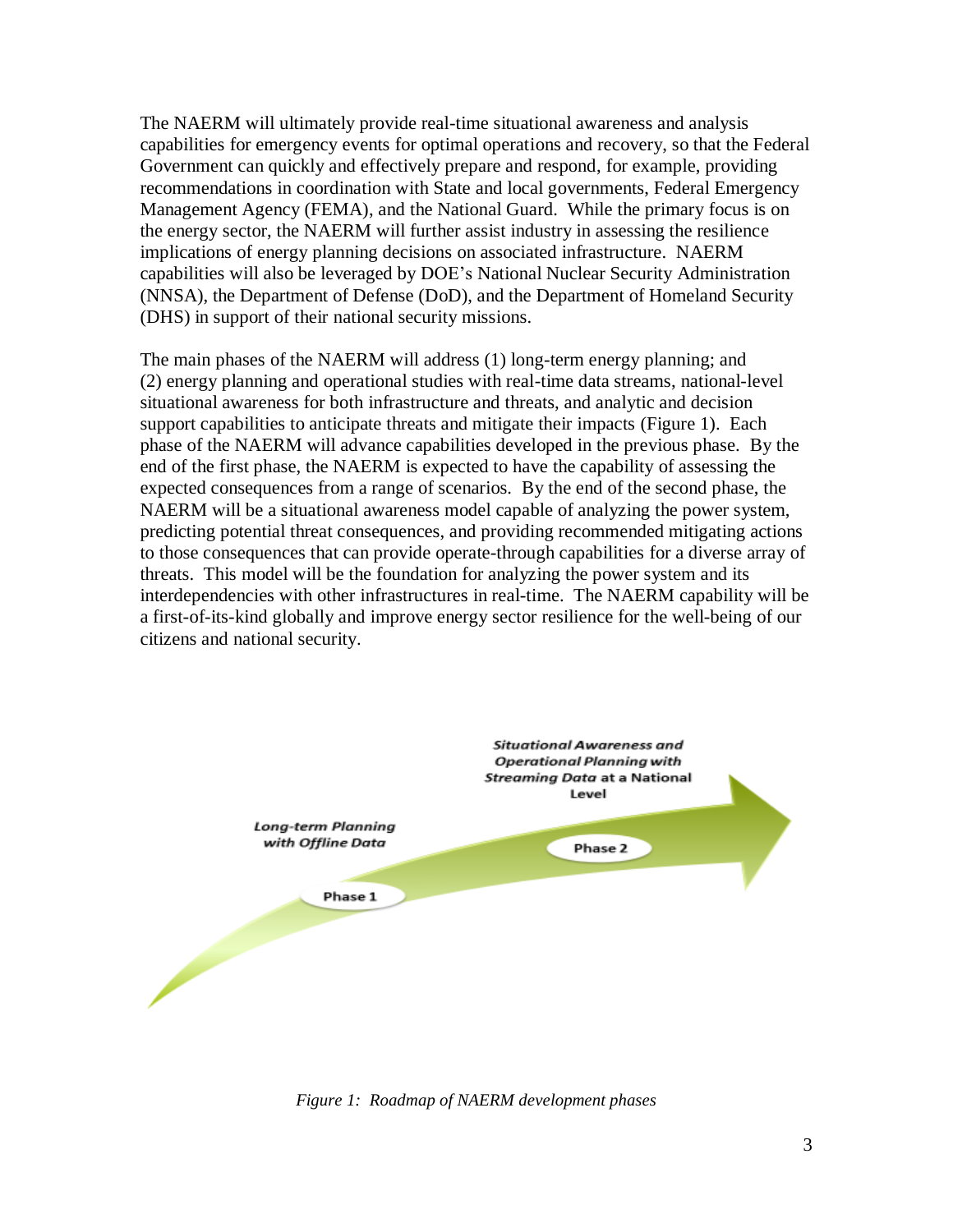The NAERM will ultimately provide real-time situational awareness and analysis capabilities for emergency events for optimal operations and recovery, so that the Federal Government can quickly and effectively prepare and respond, for example, providing recommendations in coordination with State and local governments, Federal Emergency Management Agency (FEMA), and the National Guard. While the primary focus is on the energy sector, the NAERM will further assist industry in assessing the resilience implications of energy planning decisions on associated infrastructure. NAERM capabilities will also be leveraged by DOE's National Nuclear Security Administration (NNSA), the Department of Defense (DoD), and the Department of Homeland Security (DHS) in support of their national security missions.

The main phases of the NAERM will address (1) long-term energy planning; and (2) energy planning and operational studies with real-time data streams, national-level situational awareness for both infrastructure and threats, and analytic and decision support capabilities to anticipate threats and mitigate their impacts (Figure 1). Each phase of the NAERM will advance capabilities developed in the previous phase. By the end of the first phase, the NAERM is expected to have the capability of assessing the expected consequences from a range of scenarios. By the end of the second phase, the NAERM will be a situational awareness model capable of analyzing the power system, predicting potential threat consequences, and providing recommended mitigating actions to those consequences that can provide operate-through capabilities for a diverse array of threats. This model will be the foundation for analyzing the power system and its interdependencies with other infrastructures in real-time. The NAERM capability will be a first-of-its-kind globally and improve energy sector resilience for the well-being of our citizens and national security.



*Figure 1: Roadmap of NAERM development phases*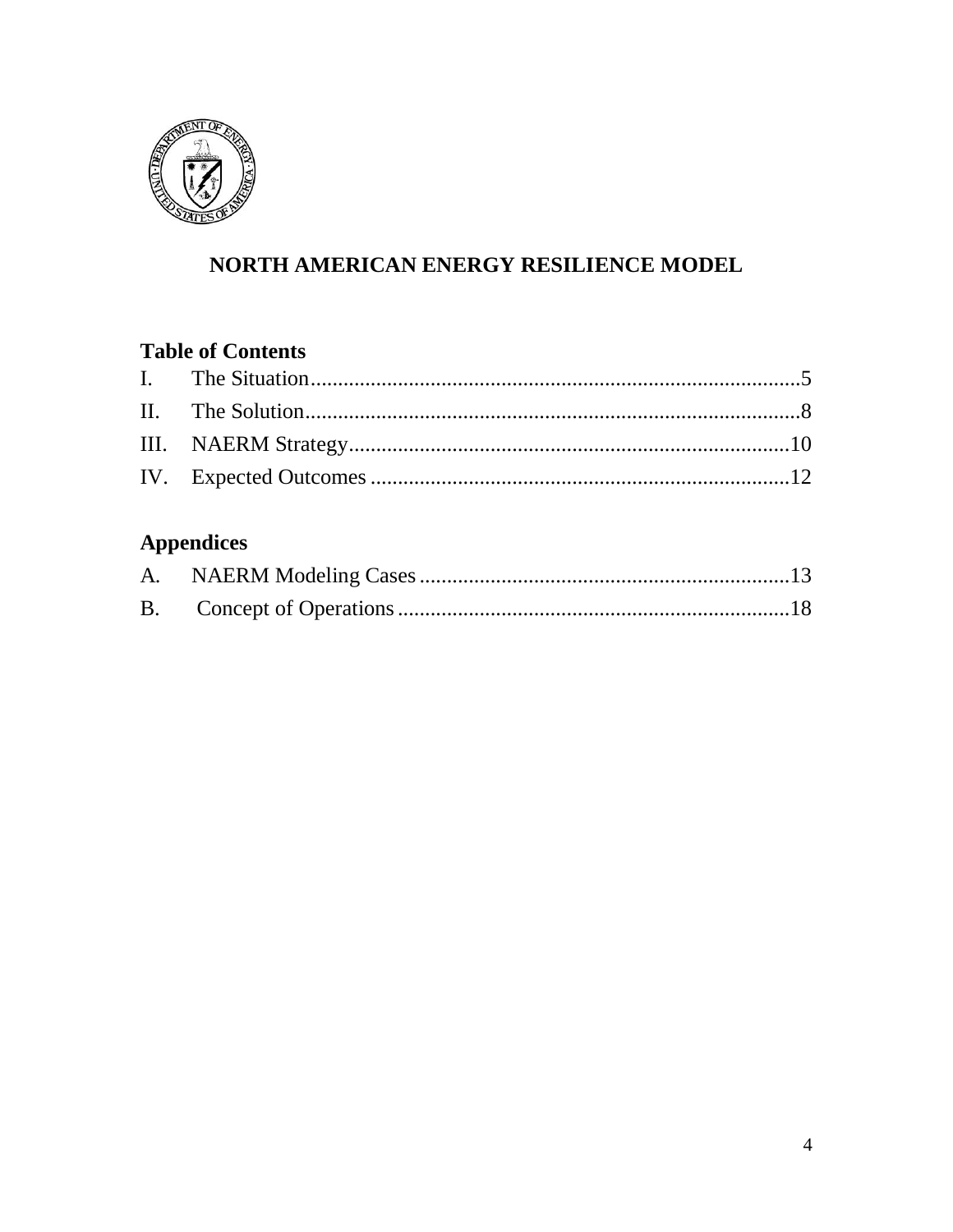

## NORTH AMERICAN ENERGY RESILIENCE MODEL

## **Table of Contents**

## **Appendices**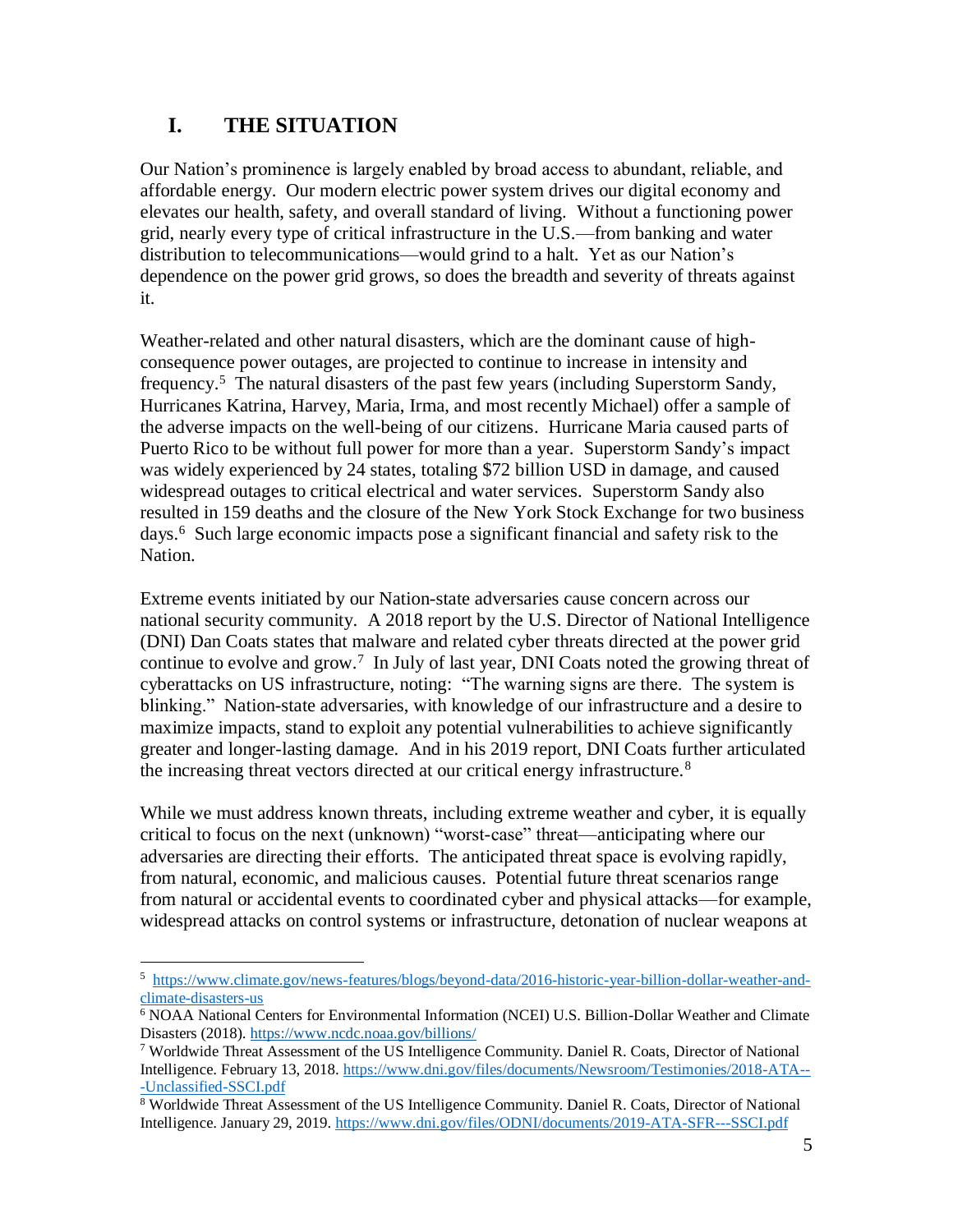## <span id="page-4-0"></span>**I. THE SITUATION**

Our Nation's prominence is largely enabled by broad access to abundant, reliable, and affordable energy. Our modern electric power system drives our digital economy and elevates our health, safety, and overall standard of living. Without a functioning power grid, nearly every type of critical infrastructure in the U.S.—from banking and water distribution to telecommunications—would grind to a halt. Yet as our Nation's dependence on the power grid grows, so does the breadth and severity of threats against it.

Weather-related and other natural disasters, which are the dominant cause of highconsequence power outages, are projected to continue to increase in intensity and frequency.<sup>5</sup> The natural disasters of the past few years (including Superstorm Sandy, Hurricanes Katrina, Harvey, Maria, Irma, and most recently Michael) offer a sample of the adverse impacts on the well-being of our citizens. Hurricane Maria caused parts of Puerto Rico to be without full power for more than a year. Superstorm Sandy's impact was widely experienced by 24 states, totaling \$72 billion USD in damage, and caused widespread outages to critical electrical and water services. Superstorm Sandy also resulted in 159 deaths and the closure of the New York Stock Exchange for two business days. <sup>6</sup> Such large economic impacts pose a significant financial and safety risk to the Nation.

Extreme events initiated by our Nation-state adversaries cause concern across our national security community. A 2018 report by the U.S. Director of National Intelligence (DNI) Dan Coats states that malware and related cyber threats directed at the power grid continue to evolve and grow.<sup>7</sup> In July of last year, DNI Coats noted the growing threat of cyberattacks on US infrastructure, noting: "The warning signs are there. The system is blinking." Nation-state adversaries, with knowledge of our infrastructure and a desire to maximize impacts, stand to exploit any potential vulnerabilities to achieve significantly greater and longer-lasting damage. And in his 2019 report, DNI Coats further articulated the increasing threat vectors directed at our critical energy infrastructure.<sup>8</sup>

While we must address known threats, including extreme weather and cyber, it is equally critical to focus on the next (unknown) "worst-case" threat—anticipating where our adversaries are directing their efforts. The anticipated threat space is evolving rapidly, from natural, economic, and malicious causes. Potential future threat scenarios range from natural or accidental events to coordinated cyber and physical attacks—for example, widespread attacks on control systems or infrastructure, detonation of nuclear weapons at

 $\overline{a}$ 5 [https://www.climate.gov/news-features/blogs/beyond-data/2016-historic-year-billion-dollar-weather-and](https://www.climate.gov/news-features/blogs/beyond-data/2016-historic-year-billion-dollar-weather-and-climate-disasters-us)[climate-disasters-us](https://www.climate.gov/news-features/blogs/beyond-data/2016-historic-year-billion-dollar-weather-and-climate-disasters-us)

<sup>6</sup> NOAA National Centers for Environmental Information (NCEI) U.S. Billion-Dollar Weather and Climate Disasters (2018). <https://www.ncdc.noaa.gov/billions/>

<sup>&</sup>lt;sup>7</sup> Worldwide Threat Assessment of the US Intelligence Community. Daniel R. Coats, Director of National Intelligence. February 13, 2018. [https://www.dni.gov/files/documents/Newsroom/Testimonies/2018-ATA--](https://www.dni.gov/files/documents/Newsroom/Testimonies/2018-ATA---Unclassified-SSCI.pdf) [-Unclassified-SSCI.pdf](https://www.dni.gov/files/documents/Newsroom/Testimonies/2018-ATA---Unclassified-SSCI.pdf)

<sup>&</sup>lt;sup>8</sup> Worldwide Threat Assessment of the US Intelligence Community. Daniel R. Coats, Director of National Intelligence. January 29, 2019.<https://www.dni.gov/files/ODNI/documents/2019-ATA-SFR---SSCI.pdf>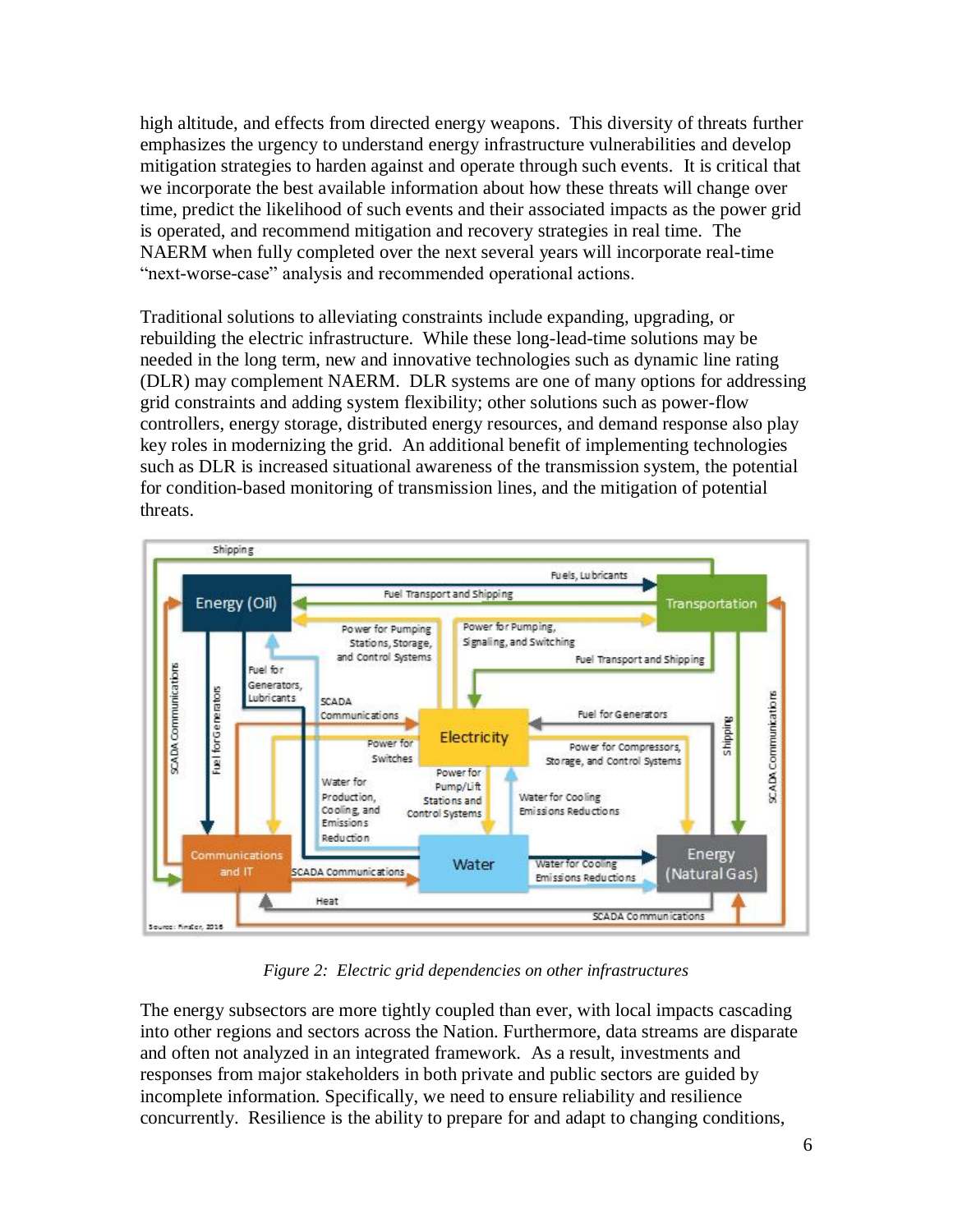high altitude, and effects from directed energy weapons. This diversity of threats further emphasizes the urgency to understand energy infrastructure vulnerabilities and develop mitigation strategies to harden against and operate through such events. It is critical that we incorporate the best available information about how these threats will change over time, predict the likelihood of such events and their associated impacts as the power grid is operated, and recommend mitigation and recovery strategies in real time. The NAERM when fully completed over the next several years will incorporate real-time "next-worse-case" analysis and recommended operational actions.

Traditional solutions to alleviating constraints include expanding, upgrading, or rebuilding the electric infrastructure. While these long-lead-time solutions may be needed in the long term, new and innovative technologies such as dynamic line rating (DLR) may complement NAERM. DLR systems are one of many options for addressing grid constraints and adding system flexibility; other solutions such as power-flow controllers, energy storage, distributed energy resources, and demand response also play key roles in modernizing the grid. An additional benefit of implementing technologies such as DLR is increased situational awareness of the transmission system, the potential for condition-based monitoring of transmission lines, and the mitigation of potential threats.



*Figure 2: Electric grid dependencies on other infrastructures*

The energy subsectors are more tightly coupled than ever, with local impacts cascading into other regions and sectors across the Nation. Furthermore, data streams are disparate and often not analyzed in an integrated framework. As a result, investments and responses from major stakeholders in both private and public sectors are guided by incomplete information. Specifically, we need to ensure reliability and resilience concurrently. Resilience is the ability to prepare for and adapt to changing conditions,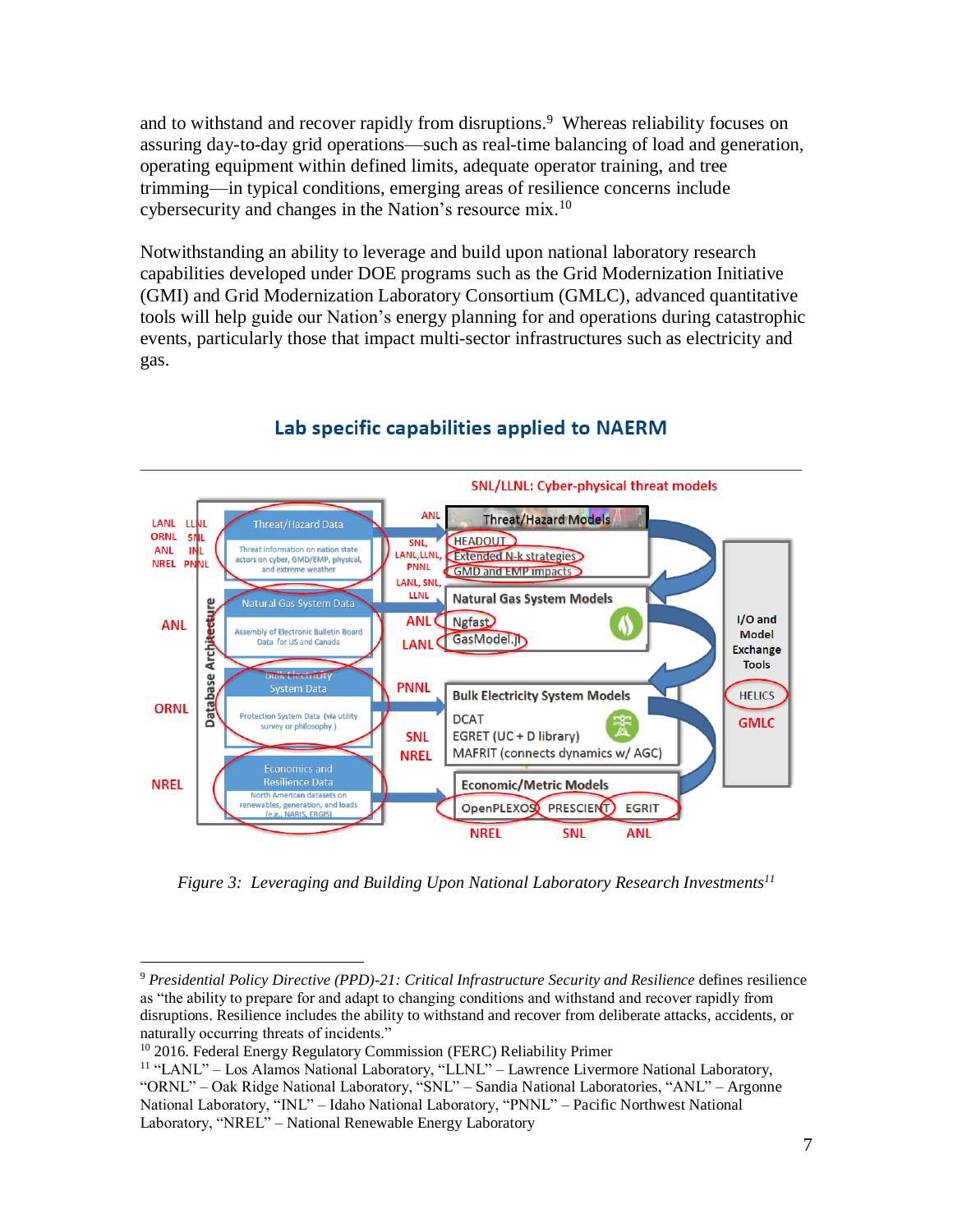and to withstand and recover rapidly from disruptions. <sup>9</sup> Whereas reliability focuses on assuring day-to-day grid operations—such as real-time balancing of load and generation, operating equipment within defined limits, adequate operator training, and tree trimming—in typical conditions, emerging areas of resilience concerns include cybersecurity and changes in the Nation's resource mix.<sup>10</sup>

Notwithstanding an ability to leverage and build upon national laboratory research capabilities developed under DOE programs such as the Grid Modernization Initiative (GMI) and Grid Modernization Laboratory Consortium (GMLC), advanced quantitative tools will help guide our Nation's energy planning for and operations during catastrophic events, particularly those that impact multi-sector infrastructures such as electricity and gas.



## Lab specific capabilities applied to NAERM

*Figure 3: Leveraging and Building Upon National Laboratory Research Investments<sup>11</sup>*

 $\overline{a}$ 

<sup>9</sup> *Presidential Policy Directive (PPD)-21: Critical Infrastructure Security and Resilience* defines resilience as "the ability to prepare for and adapt to changing conditions and withstand and recover rapidly from disruptions. Resilience includes the ability to withstand and recover from deliberate attacks, accidents, or naturally occurring threats of incidents."

<sup>&</sup>lt;sup>10</sup> 2016. Federal Energy Regulatory Commission (FERC) Reliability Primer

<sup>11</sup> "LANL" – Los Alamos National Laboratory, "LLNL" – Lawrence Livermore National Laboratory, "ORNL" – Oak Ridge National Laboratory, "SNL" – Sandia National Laboratories, "ANL" – Argonne National Laboratory, "INL" – Idaho National Laboratory, "PNNL" – Pacific Northwest National Laboratory, "NREL" – National Renewable Energy Laboratory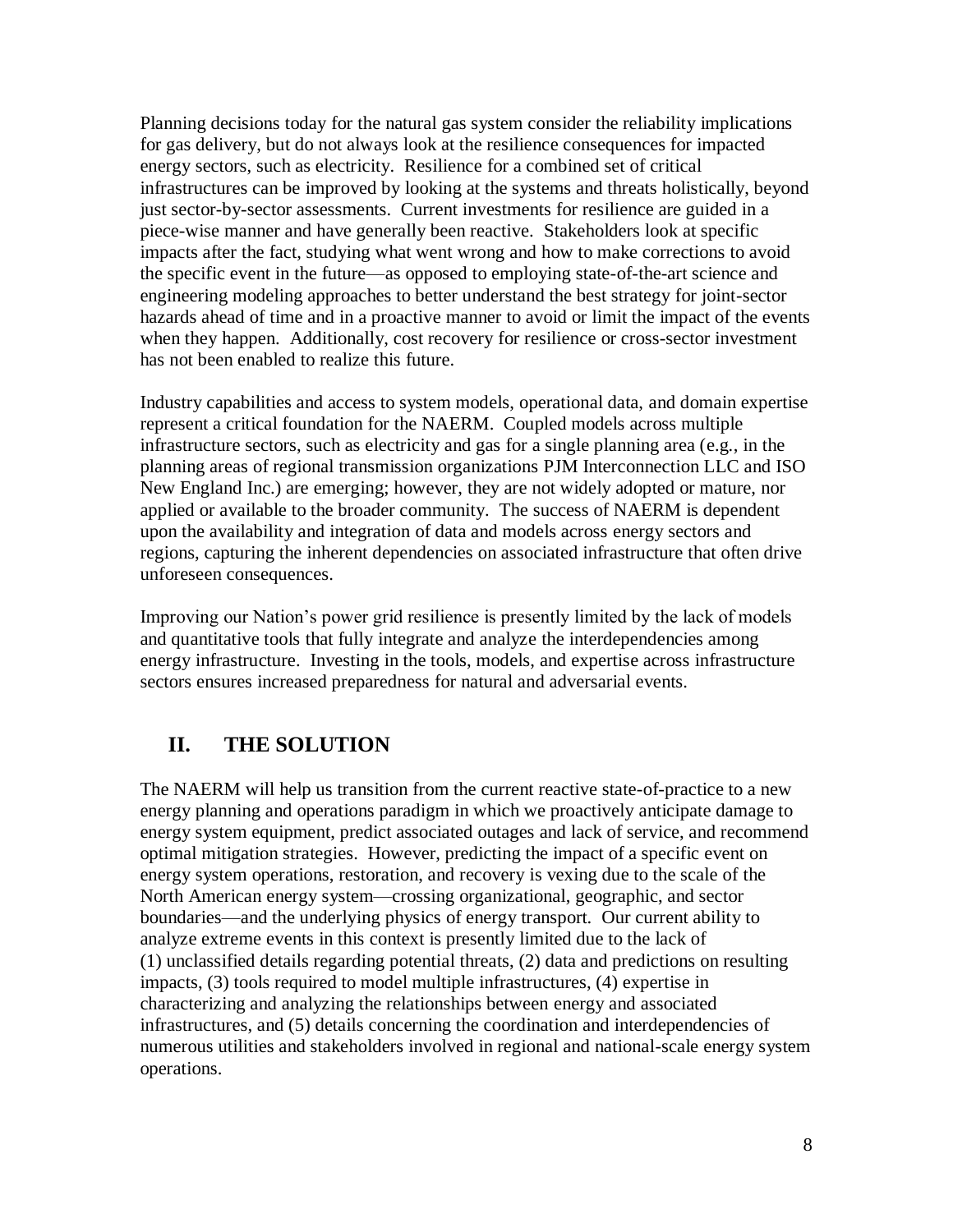Planning decisions today for the natural gas system consider the reliability implications for gas delivery, but do not always look at the resilience consequences for impacted energy sectors, such as electricity. Resilience for a combined set of critical infrastructures can be improved by looking at the systems and threats holistically, beyond just sector-by-sector assessments. Current investments for resilience are guided in a piece-wise manner and have generally been reactive. Stakeholders look at specific impacts after the fact, studying what went wrong and how to make corrections to avoid the specific event in the future—as opposed to employing state-of-the-art science and engineering modeling approaches to better understand the best strategy for joint-sector hazards ahead of time and in a proactive manner to avoid or limit the impact of the events when they happen. Additionally, cost recovery for resilience or cross-sector investment has not been enabled to realize this future.

Industry capabilities and access to system models, operational data, and domain expertise represent a critical foundation for the NAERM. Coupled models across multiple infrastructure sectors, such as electricity and gas for a single planning area (e.g*.*, in the planning areas of regional transmission organizations PJM Interconnection LLC and ISO New England Inc.) are emerging; however, they are not widely adopted or mature, nor applied or available to the broader community. The success of NAERM is dependent upon the availability and integration of data and models across energy sectors and regions, capturing the inherent dependencies on associated infrastructure that often drive unforeseen consequences.

Improving our Nation's power grid resilience is presently limited by the lack of models and quantitative tools that fully integrate and analyze the interdependencies among energy infrastructure. Investing in the tools, models, and expertise across infrastructure sectors ensures increased preparedness for natural and adversarial events.

#### <span id="page-7-0"></span>**II. THE SOLUTION**

The NAERM will help us transition from the current reactive state-of-practice to a new energy planning and operations paradigm in which we proactively anticipate damage to energy system equipment, predict associated outages and lack of service, and recommend optimal mitigation strategies. However, predicting the impact of a specific event on energy system operations, restoration, and recovery is vexing due to the scale of the North American energy system—crossing organizational, geographic, and sector boundaries—and the underlying physics of energy transport. Our current ability to analyze extreme events in this context is presently limited due to the lack of (1) unclassified details regarding potential threats, (2) data and predictions on resulting impacts, (3) tools required to model multiple infrastructures, (4) expertise in characterizing and analyzing the relationships between energy and associated infrastructures, and (5) details concerning the coordination and interdependencies of numerous utilities and stakeholders involved in regional and national-scale energy system operations.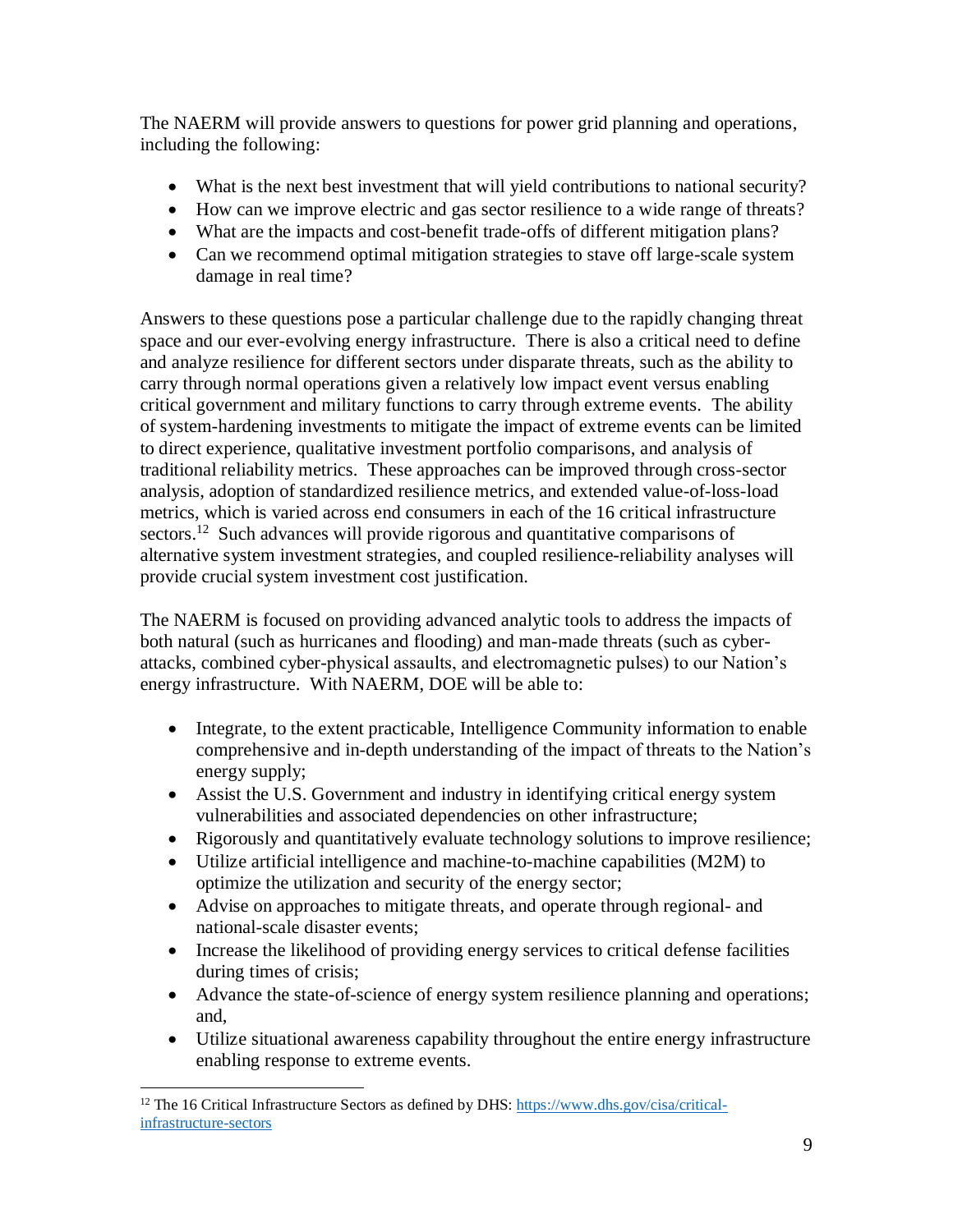The NAERM will provide answers to questions for power grid planning and operations, including the following:

- What is the next best investment that will yield contributions to national security?
- How can we improve electric and gas sector resilience to a wide range of threats?
- What are the impacts and cost-benefit trade-offs of different mitigation plans?
- Can we recommend optimal mitigation strategies to stave off large-scale system damage in real time?

Answers to these questions pose a particular challenge due to the rapidly changing threat space and our ever-evolving energy infrastructure. There is also a critical need to define and analyze resilience for different sectors under disparate threats, such as the ability to carry through normal operations given a relatively low impact event versus enabling critical government and military functions to carry through extreme events. The ability of system-hardening investments to mitigate the impact of extreme events can be limited to direct experience, qualitative investment portfolio comparisons, and analysis of traditional reliability metrics. These approaches can be improved through cross-sector analysis, adoption of standardized resilience metrics, and extended value-of-loss-load metrics, which is varied across end consumers in each of the 16 critical infrastructure sectors.<sup>12</sup> Such advances will provide rigorous and quantitative comparisons of alternative system investment strategies, and coupled resilience-reliability analyses will provide crucial system investment cost justification.

The NAERM is focused on providing advanced analytic tools to address the impacts of both natural (such as hurricanes and flooding) and man-made threats (such as cyberattacks, combined cyber-physical assaults, and electromagnetic pulses) to our Nation's energy infrastructure. With NAERM, DOE will be able to:

- Integrate, to the extent practicable, Intelligence Community information to enable comprehensive and in-depth understanding of the impact of threats to the Nation's energy supply;
- Assist the U.S. Government and industry in identifying critical energy system vulnerabilities and associated dependencies on other infrastructure;
- Rigorously and quantitatively evaluate technology solutions to improve resilience;
- Utilize artificial intelligence and machine-to-machine capabilities (M2M) to optimize the utilization and security of the energy sector;
- Advise on approaches to mitigate threats, and operate through regional- and national-scale disaster events;
- Increase the likelihood of providing energy services to critical defense facilities during times of crisis;
- Advance the state-of-science of energy system resilience planning and operations; and,
- Utilize situational awareness capability throughout the entire energy infrastructure enabling response to extreme events.

 $\overline{a}$ 

<sup>12</sup> The 16 Critical Infrastructure Sectors as defined by DHS: [https://www.dhs.gov/cisa/critical](https://www.dhs.gov/cisa/critical-infrastructure-sectors)[infrastructure-sectors](https://www.dhs.gov/cisa/critical-infrastructure-sectors)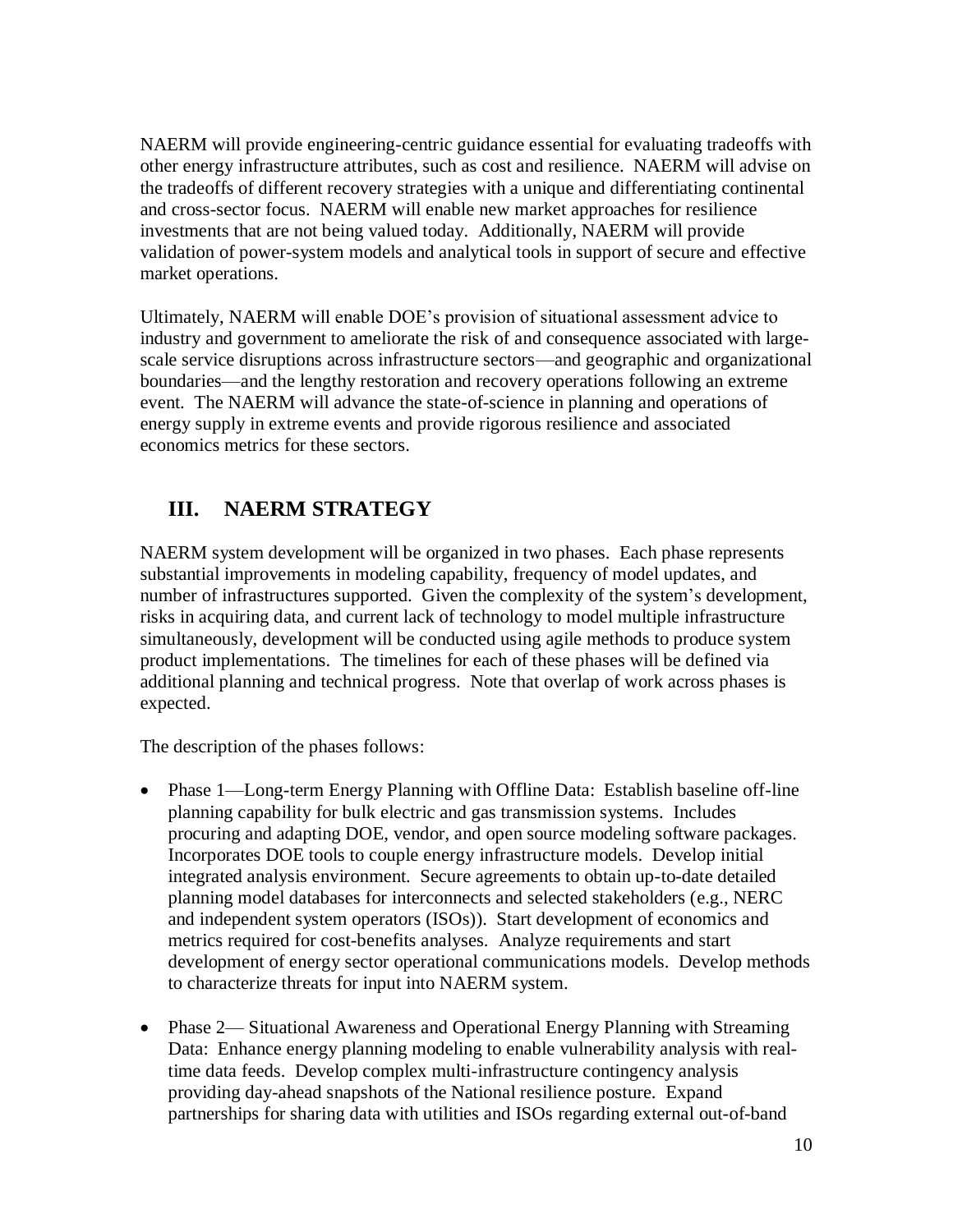NAERM will provide engineering-centric guidance essential for evaluating tradeoffs with other energy infrastructure attributes, such as cost and resilience. NAERM will advise on the tradeoffs of different recovery strategies with a unique and differentiating continental and cross-sector focus. NAERM will enable new market approaches for resilience investments that are not being valued today. Additionally, NAERM will provide validation of power-system models and analytical tools in support of secure and effective market operations.

Ultimately, NAERM will enable DOE's provision of situational assessment advice to industry and government to ameliorate the risk of and consequence associated with largescale service disruptions across infrastructure sectors—and geographic and organizational boundaries—and the lengthy restoration and recovery operations following an extreme event. The NAERM will advance the state-of-science in planning and operations of energy supply in extreme events and provide rigorous resilience and associated economics metrics for these sectors.

## <span id="page-9-0"></span>**III. NAERM STRATEGY**

NAERM system development will be organized in two phases. Each phase represents substantial improvements in modeling capability, frequency of model updates, and number of infrastructures supported. Given the complexity of the system's development, risks in acquiring data, and current lack of technology to model multiple infrastructure simultaneously, development will be conducted using agile methods to produce system product implementations. The timelines for each of these phases will be defined via additional planning and technical progress. Note that overlap of work across phases is expected.

The description of the phases follows:

- Phase 1—Long-term Energy Planning with Offline Data: Establish baseline off-line planning capability for bulk electric and gas transmission systems. Includes procuring and adapting DOE, vendor, and open source modeling software packages. Incorporates DOE tools to couple energy infrastructure models. Develop initial integrated analysis environment. Secure agreements to obtain up-to-date detailed planning model databases for interconnects and selected stakeholders (e.g., NERC and independent system operators (ISOs)). Start development of economics and metrics required for cost-benefits analyses. Analyze requirements and start development of energy sector operational communications models. Develop methods to characterize threats for input into NAERM system.
- Phase 2— Situational Awareness and Operational Energy Planning with Streaming Data: Enhance energy planning modeling to enable vulnerability analysis with realtime data feeds. Develop complex multi-infrastructure contingency analysis providing day-ahead snapshots of the National resilience posture. Expand partnerships for sharing data with utilities and ISOs regarding external out-of-band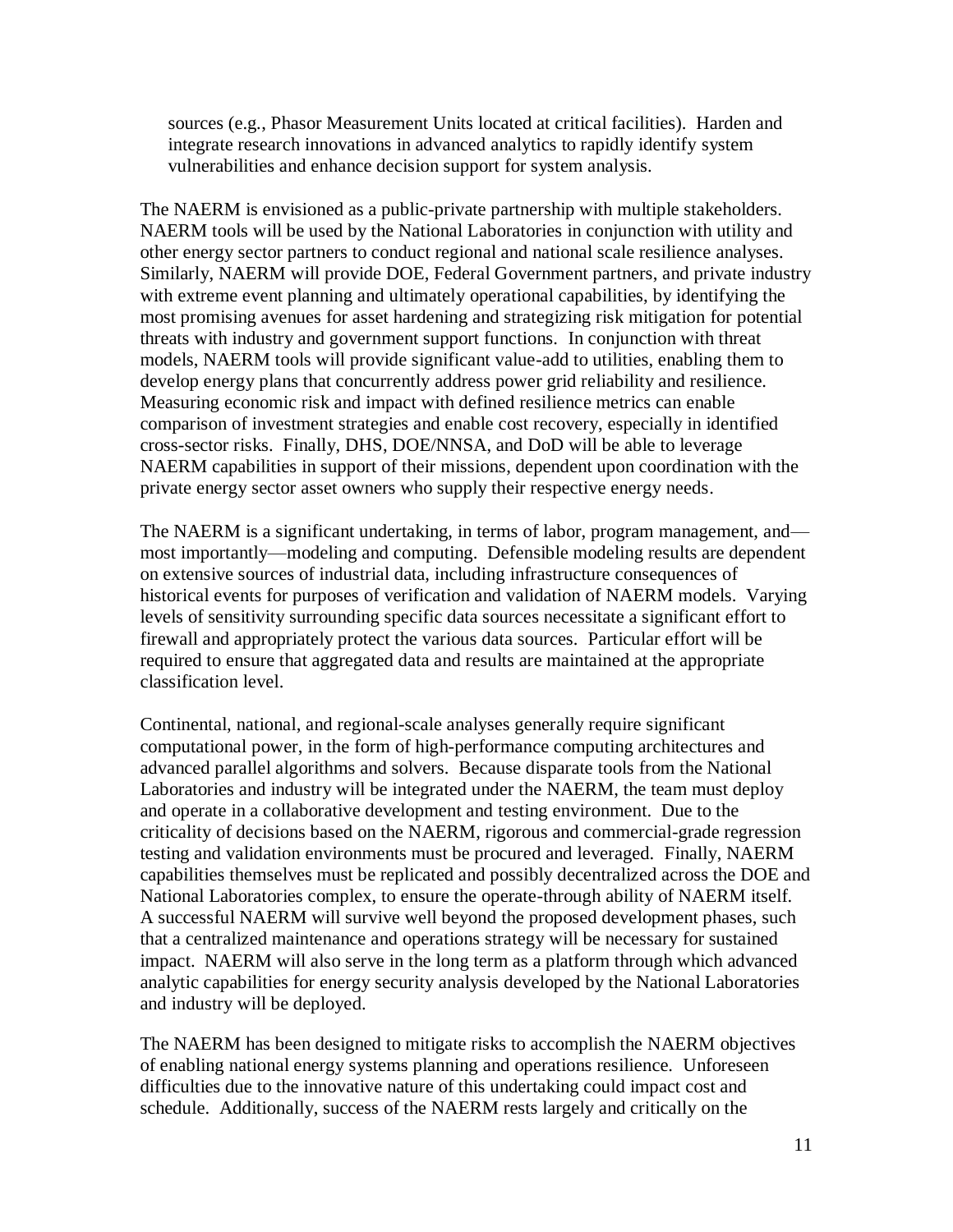sources (e.g*.*, Phasor Measurement Units located at critical facilities). Harden and integrate research innovations in advanced analytics to rapidly identify system vulnerabilities and enhance decision support for system analysis.

The NAERM is envisioned as a public-private partnership with multiple stakeholders. NAERM tools will be used by the National Laboratories in conjunction with utility and other energy sector partners to conduct regional and national scale resilience analyses. Similarly, NAERM will provide DOE, Federal Government partners, and private industry with extreme event planning and ultimately operational capabilities, by identifying the most promising avenues for asset hardening and strategizing risk mitigation for potential threats with industry and government support functions. In conjunction with threat models, NAERM tools will provide significant value-add to utilities, enabling them to develop energy plans that concurrently address power grid reliability and resilience. Measuring economic risk and impact with defined resilience metrics can enable comparison of investment strategies and enable cost recovery, especially in identified cross-sector risks. Finally, DHS, DOE/NNSA, and DoD will be able to leverage NAERM capabilities in support of their missions, dependent upon coordination with the private energy sector asset owners who supply their respective energy needs.

The NAERM is a significant undertaking, in terms of labor, program management, and most importantly—modeling and computing. Defensible modeling results are dependent on extensive sources of industrial data, including infrastructure consequences of historical events for purposes of verification and validation of NAERM models. Varying levels of sensitivity surrounding specific data sources necessitate a significant effort to firewall and appropriately protect the various data sources. Particular effort will be required to ensure that aggregated data and results are maintained at the appropriate classification level.

Continental, national, and regional-scale analyses generally require significant computational power, in the form of high-performance computing architectures and advanced parallel algorithms and solvers. Because disparate tools from the National Laboratories and industry will be integrated under the NAERM, the team must deploy and operate in a collaborative development and testing environment. Due to the criticality of decisions based on the NAERM, rigorous and commercial-grade regression testing and validation environments must be procured and leveraged. Finally, NAERM capabilities themselves must be replicated and possibly decentralized across the DOE and National Laboratories complex, to ensure the operate-through ability of NAERM itself. A successful NAERM will survive well beyond the proposed development phases, such that a centralized maintenance and operations strategy will be necessary for sustained impact. NAERM will also serve in the long term as a platform through which advanced analytic capabilities for energy security analysis developed by the National Laboratories and industry will be deployed.

The NAERM has been designed to mitigate risks to accomplish the NAERM objectives of enabling national energy systems planning and operations resilience. Unforeseen difficulties due to the innovative nature of this undertaking could impact cost and schedule. Additionally, success of the NAERM rests largely and critically on the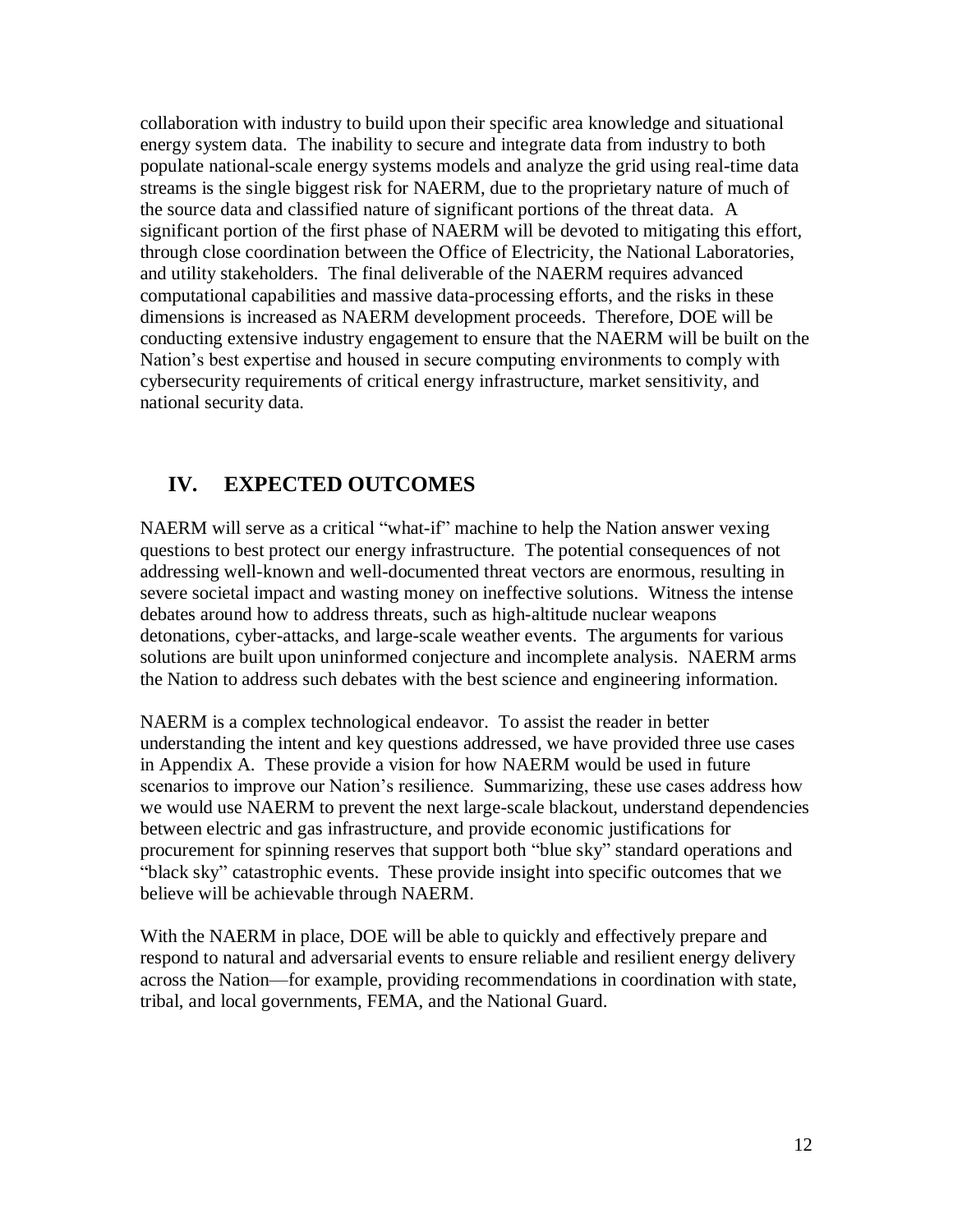collaboration with industry to build upon their specific area knowledge and situational energy system data. The inability to secure and integrate data from industry to both populate national-scale energy systems models and analyze the grid using real-time data streams is the single biggest risk for NAERM, due to the proprietary nature of much of the source data and classified nature of significant portions of the threat data. A significant portion of the first phase of NAERM will be devoted to mitigating this effort, through close coordination between the Office of Electricity, the National Laboratories, and utility stakeholders. The final deliverable of the NAERM requires advanced computational capabilities and massive data-processing efforts, and the risks in these dimensions is increased as NAERM development proceeds. Therefore, DOE will be conducting extensive industry engagement to ensure that the NAERM will be built on the Nation's best expertise and housed in secure computing environments to comply with cybersecurity requirements of critical energy infrastructure, market sensitivity, and national security data.

### <span id="page-11-0"></span>**IV. EXPECTED OUTCOMES**

NAERM will serve as a critical "what-if" machine to help the Nation answer vexing questions to best protect our energy infrastructure. The potential consequences of not addressing well-known and well-documented threat vectors are enormous, resulting in severe societal impact and wasting money on ineffective solutions. Witness the intense debates around how to address threats, such as high-altitude nuclear weapons detonations, cyber-attacks, and large-scale weather events. The arguments for various solutions are built upon uninformed conjecture and incomplete analysis. NAERM arms the Nation to address such debates with the best science and engineering information.

NAERM is a complex technological endeavor. To assist the reader in better understanding the intent and key questions addressed, we have provided three use cases in Appendix A. These provide a vision for how NAERM would be used in future scenarios to improve our Nation's resilience. Summarizing, these use cases address how we would use NAERM to prevent the next large-scale blackout, understand dependencies between electric and gas infrastructure, and provide economic justifications for procurement for spinning reserves that support both "blue sky" standard operations and "black sky" catastrophic events. These provide insight into specific outcomes that we believe will be achievable through NAERM.

With the NAERM in place, DOE will be able to quickly and effectively prepare and respond to natural and adversarial events to ensure reliable and resilient energy delivery across the Nation—for example, providing recommendations in coordination with state, tribal, and local governments, FEMA, and the National Guard.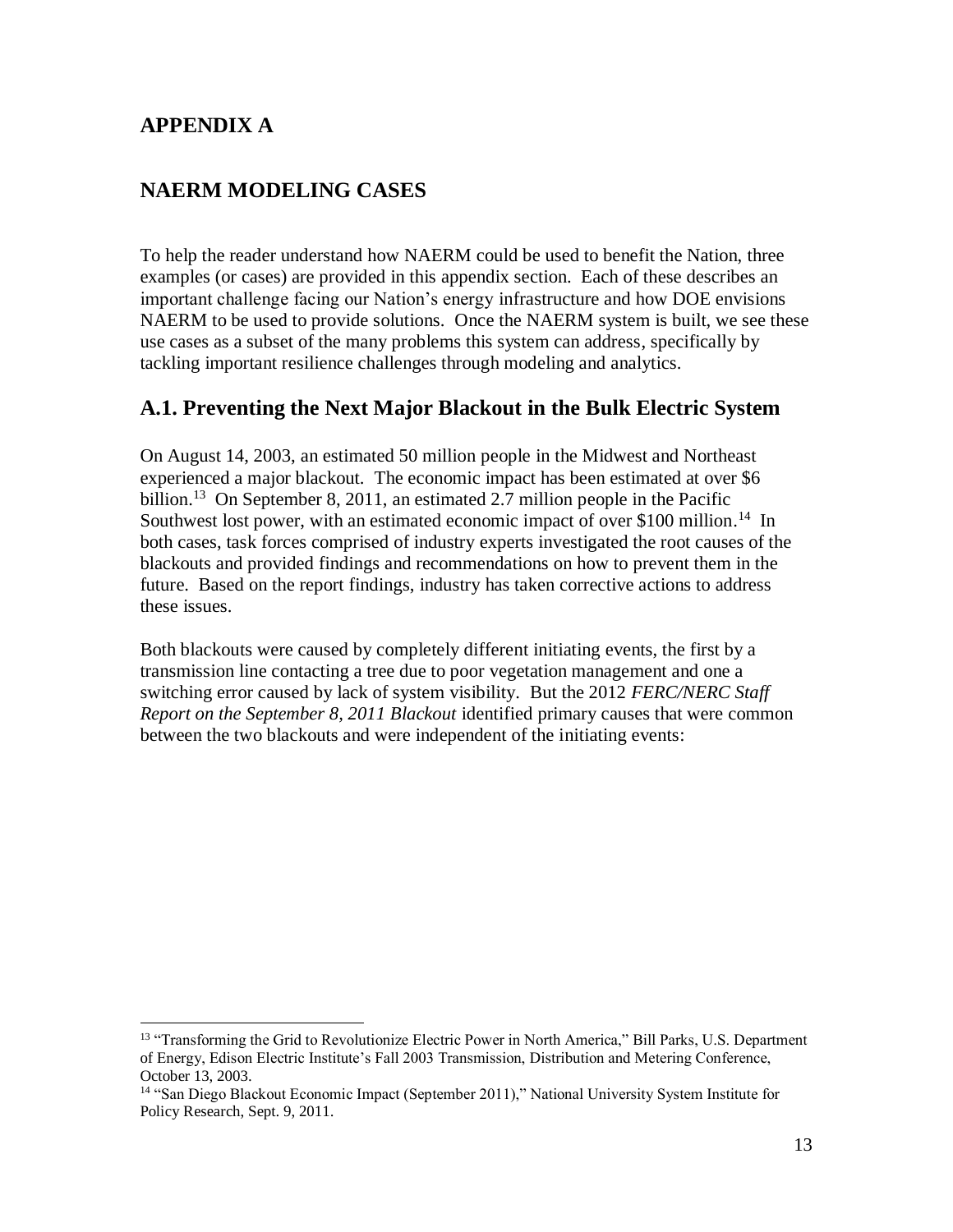#### **APPENDIX A**

 $\overline{a}$ 

#### <span id="page-12-0"></span>**NAERM MODELING CASES**

To help the reader understand how NAERM could be used to benefit the Nation, three examples (or cases) are provided in this appendix section. Each of these describes an important challenge facing our Nation's energy infrastructure and how DOE envisions NAERM to be used to provide solutions. Once the NAERM system is built, we see these use cases as a subset of the many problems this system can address, specifically by tackling important resilience challenges through modeling and analytics.

#### **A.1. Preventing the Next Major Blackout in the Bulk Electric System**

On August 14, 2003, an estimated 50 million people in the Midwest and Northeast experienced a major blackout. The economic impact has been estimated at over \$6 billion.<sup>13</sup> On September 8, 2011, an estimated 2.7 million people in the Pacific Southwest lost power, with an estimated economic impact of over \$100 million.<sup>14</sup> In both cases, task forces comprised of industry experts investigated the root causes of the blackouts and provided findings and recommendations on how to prevent them in the future. Based on the report findings, industry has taken corrective actions to address these issues.

Both blackouts were caused by completely different initiating events, the first by a transmission line contacting a tree due to poor vegetation management and one a switching error caused by lack of system visibility. But the 2012 *FERC/NERC Staff Report on the September 8, 2011 Blackout* identified primary causes that were common between the two blackouts and were independent of the initiating events:

<sup>&</sup>lt;sup>13</sup> "Transforming the Grid to Revolutionize Electric Power in North America," Bill Parks, U.S. Department of Energy, Edison Electric Institute's Fall 2003 Transmission, Distribution and Metering Conference, October 13, 2003.

<sup>14</sup> "San Diego Blackout Economic Impact (September 2011)," National University System Institute for Policy Research, Sept. 9, 2011.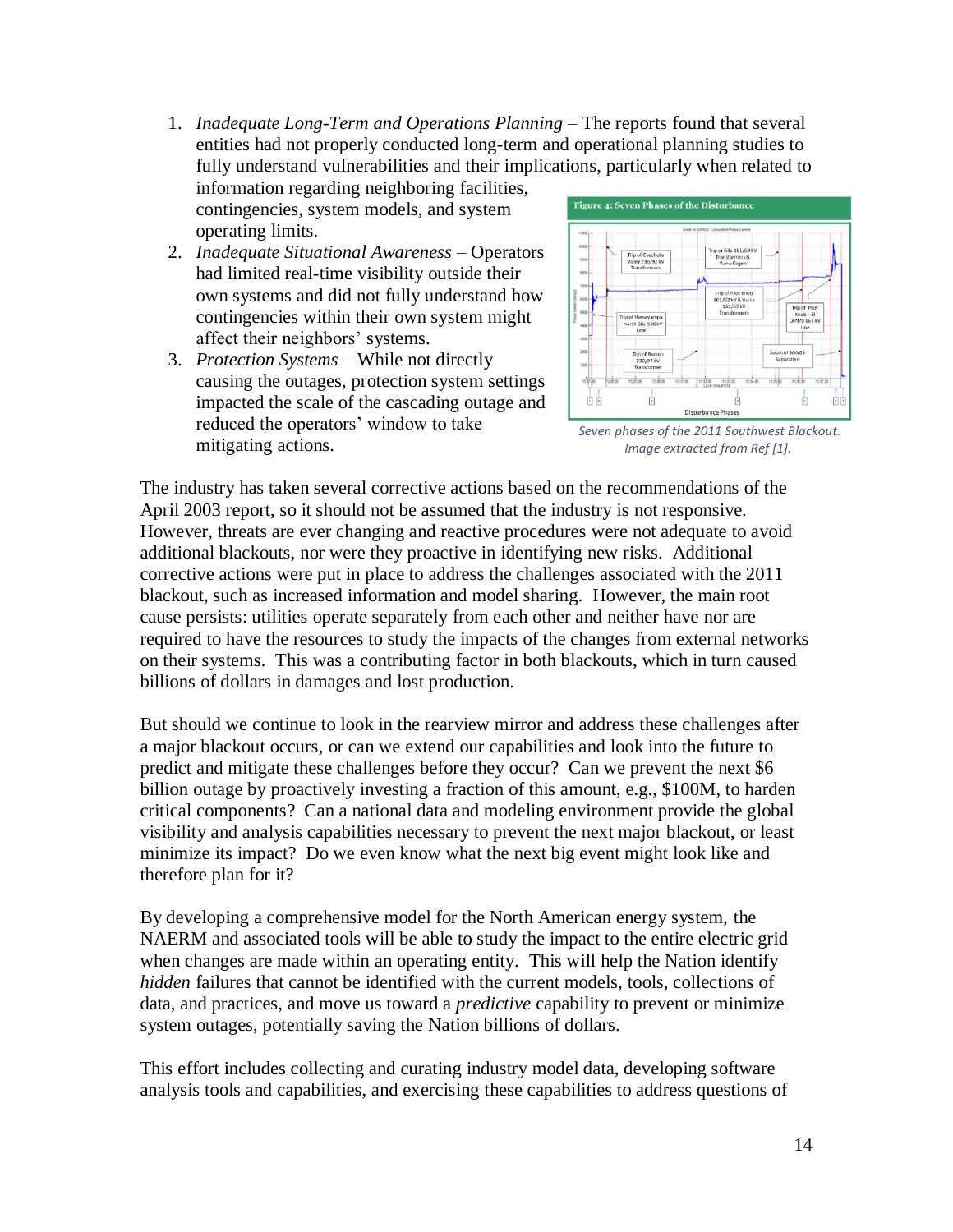1. *Inadequate Long-Term and Operations Planning* – The reports found that several entities had not properly conducted long-term and operational planning studies to fully understand vulnerabilities and their implications, particularly when related to

information regarding neighboring facilities, contingencies, system models, and system operating limits.

- 2. *Inadequate Situational Awareness* Operators had limited real-time visibility outside their own systems and did not fully understand how contingencies within their own system might affect their neighbors' systems.
- 3. *Protection Systems* While not directly causing the outages, protection system settings impacted the scale of the cascading outage and reduced the operators' window to take mitigating actions.



*Seven phases of the 2011 Southwest Blackout. Image extracted from Ref [1].*

The industry has taken several corrective actions based on the recommendations of the April 2003 report, so it should not be assumed that the industry is not responsive. However, threats are ever changing and reactive procedures were not adequate to avoid additional blackouts, nor were they proactive in identifying new risks. Additional corrective actions were put in place to address the challenges associated with the 2011 blackout, such as increased information and model sharing. However, the main root cause persists: utilities operate separately from each other and neither have nor are required to have the resources to study the impacts of the changes from external networks on their systems. This was a contributing factor in both blackouts, which in turn caused billions of dollars in damages and lost production.

But should we continue to look in the rearview mirror and address these challenges after a major blackout occurs, or can we extend our capabilities and look into the future to predict and mitigate these challenges before they occur? Can we prevent the next \$6 billion outage by proactively investing a fraction of this amount, e.g., \$100M, to harden critical components? Can a national data and modeling environment provide the global visibility and analysis capabilities necessary to prevent the next major blackout, or least minimize its impact? Do we even know what the next big event might look like and therefore plan for it?

By developing a comprehensive model for the North American energy system, the NAERM and associated tools will be able to study the impact to the entire electric grid when changes are made within an operating entity. This will help the Nation identify *hidden* failures that cannot be identified with the current models, tools, collections of data, and practices, and move us toward a *predictive* capability to prevent or minimize system outages, potentially saving the Nation billions of dollars.

This effort includes collecting and curating industry model data, developing software analysis tools and capabilities, and exercising these capabilities to address questions of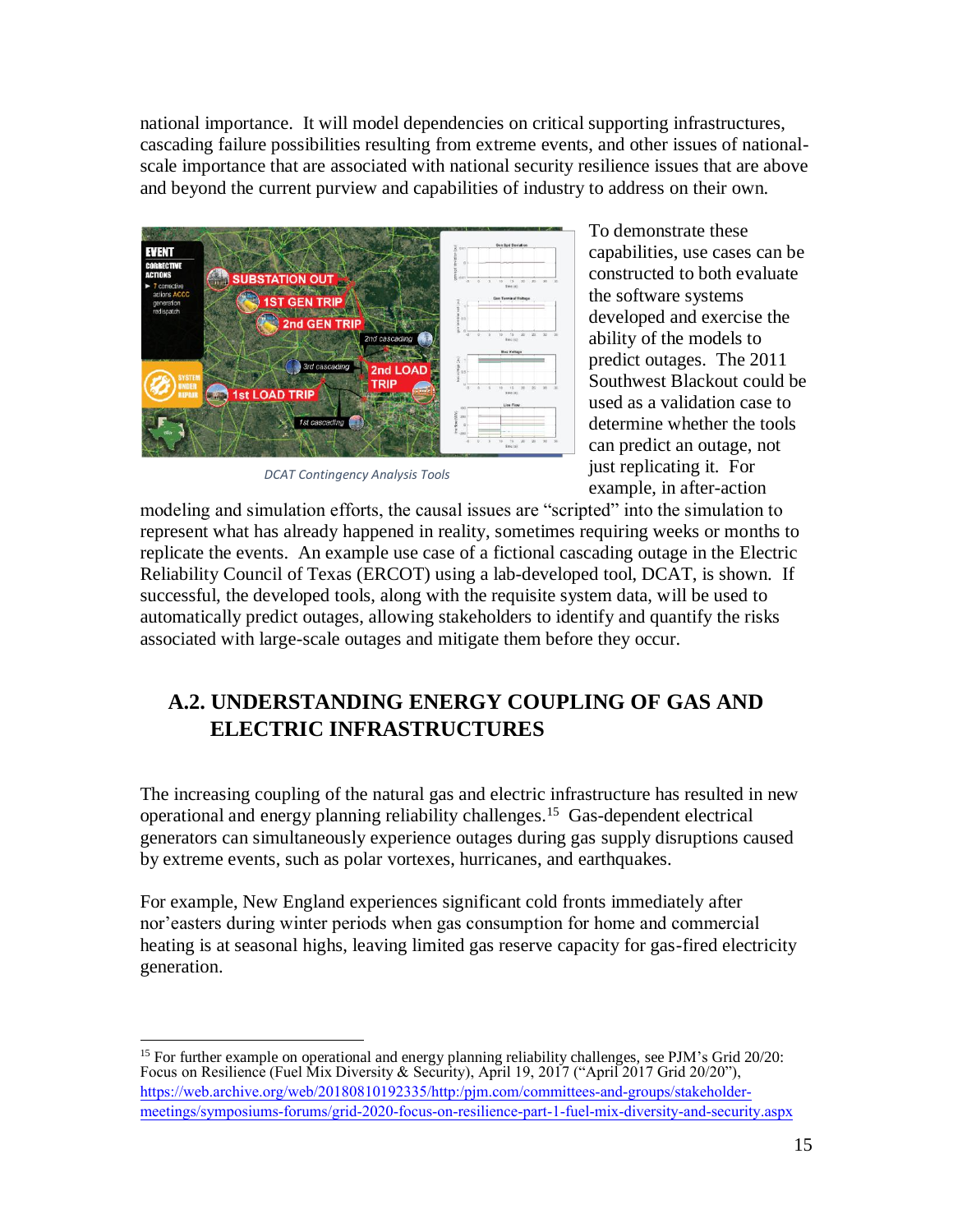national importance. It will model dependencies on critical supporting infrastructures, cascading failure possibilities resulting from extreme events, and other issues of nationalscale importance that are associated with national security resilience issues that are above and beyond the current purview and capabilities of industry to address on their own.



*DCAT Contingency Analysis Tools*

To demonstrate these capabilities, use cases can be constructed to both evaluate the software systems developed and exercise the ability of the models to predict outages. The 2011 Southwest Blackout could be used as a validation case to determine whether the tools can predict an outage, not just replicating it. For example, in after-action

modeling and simulation efforts, the causal issues are "scripted" into the simulation to represent what has already happened in reality, sometimes requiring weeks or months to replicate the events. An example use case of a fictional cascading outage in the Electric Reliability Council of Texas (ERCOT) using a lab-developed tool, DCAT, is shown. If successful, the developed tools, along with the requisite system data, will be used to automatically predict outages, allowing stakeholders to identify and quantify the risks associated with large-scale outages and mitigate them before they occur.

## **A.2. UNDERSTANDING ENERGY COUPLING OF GAS AND ELECTRIC INFRASTRUCTURES**

The increasing coupling of the natural gas and electric infrastructure has resulted in new operational and energy planning reliability challenges.<sup>15</sup> Gas-dependent electrical generators can simultaneously experience outages during gas supply disruptions caused by extreme events, such as polar vortexes, hurricanes, and earthquakes.

For example, New England experiences significant cold fronts immediately after nor'easters during winter periods when gas consumption for home and commercial heating is at seasonal highs, leaving limited gas reserve capacity for gas-fired electricity generation.

<sup>&</sup>lt;sup>15</sup> For further example on operational and energy planning reliability challenges, see PJM's Grid 20/20: Focus on Resilience (Fuel Mix Diversity & Security), April 19, 2017 ("April 2017 Grid 20/20"), [https://web.archive.org/web/20180810192335/http:/pjm.com/committees-and-groups/stakeholder](https://web.archive.org/web/20180810192335/http:/pjm.com/committees-and-groups/stakeholder-meetings/symposiums-forums/grid-2020-focus-on-resilience-part-1-fuel-mix-diversity-and-security.aspx)[meetings/symposiums-forums/grid-2020-focus-on-resilience-part-1-fuel-mix-diversity-and-security.aspx](https://web.archive.org/web/20180810192335/http:/pjm.com/committees-and-groups/stakeholder-meetings/symposiums-forums/grid-2020-focus-on-resilience-part-1-fuel-mix-diversity-and-security.aspx)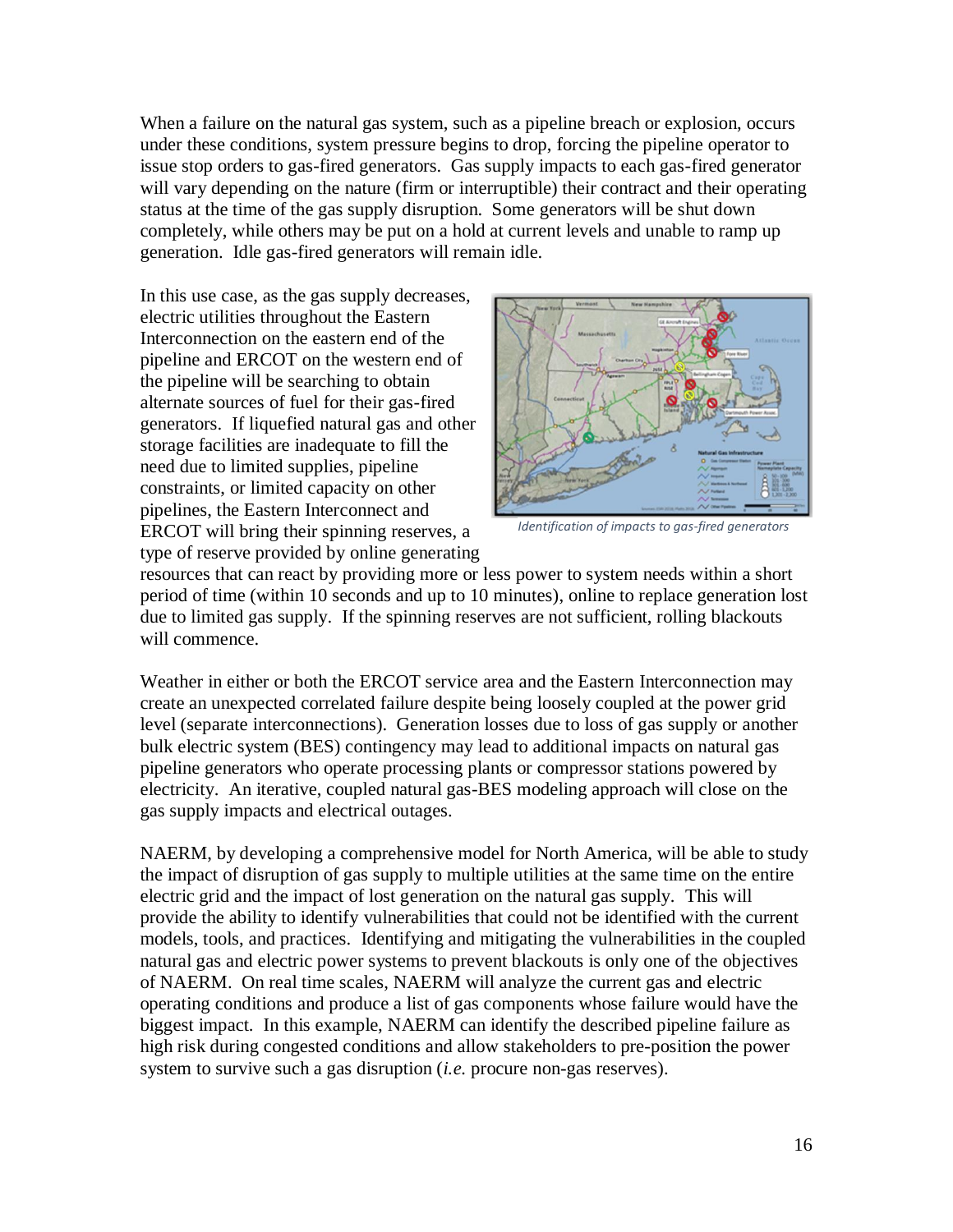When a failure on the natural gas system, such as a pipeline breach or explosion, occurs under these conditions, system pressure begins to drop, forcing the pipeline operator to issue stop orders to gas-fired generators. Gas supply impacts to each gas-fired generator will vary depending on the nature (firm or interruptible) their contract and their operating status at the time of the gas supply disruption. Some generators will be shut down completely, while others may be put on a hold at current levels and unable to ramp up generation. Idle gas-fired generators will remain idle.

In this use case, as the gas supply decreases, electric utilities throughout the Eastern Interconnection on the eastern end of the pipeline and ERCOT on the western end of the pipeline will be searching to obtain alternate sources of fuel for their gas-fired generators. If liquefied natural gas and other storage facilities are inadequate to fill the need due to limited supplies, pipeline constraints, or limited capacity on other pipelines, the Eastern Interconnect and ERCOT will bring their spinning reserves, a type of reserve provided by online generating



*Identification of impacts to gas-fired generators*

resources that can react by providing more or less power to system needs within a short period of time (within 10 seconds and up to 10 minutes), online to replace generation lost due to limited gas supply. If the spinning reserves are not sufficient, rolling blackouts will commence.

Weather in either or both the ERCOT service area and the Eastern Interconnection may create an unexpected correlated failure despite being loosely coupled at the power grid level (separate interconnections). Generation losses due to loss of gas supply or another bulk electric system (BES) contingency may lead to additional impacts on natural gas pipeline generators who operate processing plants or compressor stations powered by electricity. An iterative, coupled natural gas-BES modeling approach will close on the gas supply impacts and electrical outages.

NAERM, by developing a comprehensive model for North America, will be able to study the impact of disruption of gas supply to multiple utilities at the same time on the entire electric grid and the impact of lost generation on the natural gas supply. This will provide the ability to identify vulnerabilities that could not be identified with the current models, tools, and practices. Identifying and mitigating the vulnerabilities in the coupled natural gas and electric power systems to prevent blackouts is only one of the objectives of NAERM. On real time scales, NAERM will analyze the current gas and electric operating conditions and produce a list of gas components whose failure would have the biggest impact. In this example, NAERM can identify the described pipeline failure as high risk during congested conditions and allow stakeholders to pre-position the power system to survive such a gas disruption (*i.e.* procure non-gas reserves).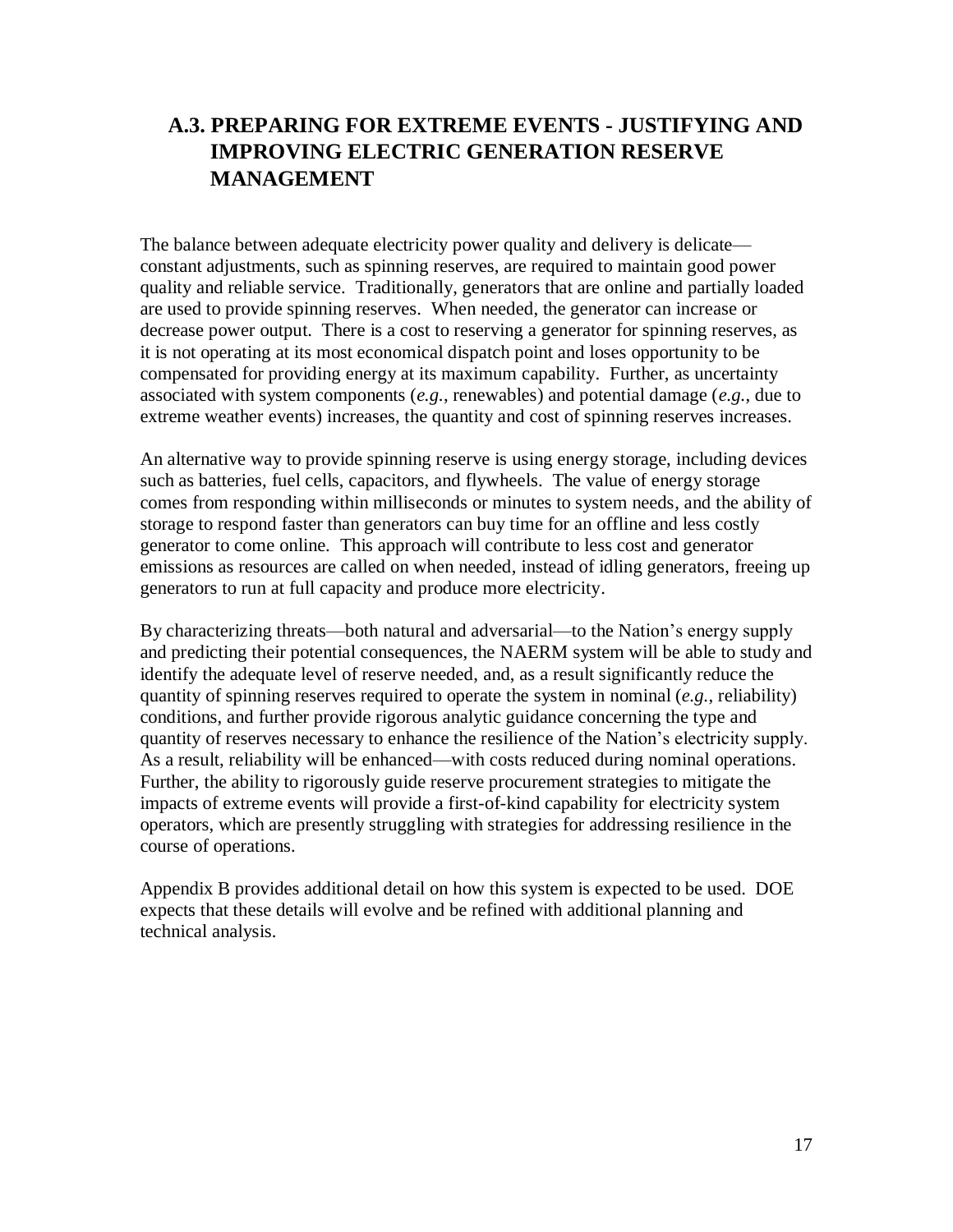## **A.3. PREPARING FOR EXTREME EVENTS - JUSTIFYING AND IMPROVING ELECTRIC GENERATION RESERVE MANAGEMENT**

The balance between adequate electricity power quality and delivery is delicate constant adjustments, such as spinning reserves, are required to maintain good power quality and reliable service. Traditionally, generators that are online and partially loaded are used to provide spinning reserves. When needed, the generator can increase or decrease power output. There is a cost to reserving a generator for spinning reserves, as it is not operating at its most economical dispatch point and loses opportunity to be compensated for providing energy at its maximum capability. Further, as uncertainty associated with system components (*e.g.*, renewables) and potential damage (*e.g.*, due to extreme weather events) increases, the quantity and cost of spinning reserves increases.

An alternative way to provide spinning reserve is using energy storage, including devices such as batteries, fuel cells, capacitors, and flywheels. The value of energy storage comes from responding within milliseconds or minutes to system needs, and the ability of storage to respond faster than generators can buy time for an offline and less costly generator to come online. This approach will contribute to less cost and generator emissions as resources are called on when needed, instead of idling generators, freeing up generators to run at full capacity and produce more electricity.

By characterizing threats—both natural and adversarial—to the Nation's energy supply and predicting their potential consequences, the NAERM system will be able to study and identify the adequate level of reserve needed, and, as a result significantly reduce the quantity of spinning reserves required to operate the system in nominal (*e.g.*, reliability) conditions, and further provide rigorous analytic guidance concerning the type and quantity of reserves necessary to enhance the resilience of the Nation's electricity supply. As a result, reliability will be enhanced—with costs reduced during nominal operations. Further, the ability to rigorously guide reserve procurement strategies to mitigate the impacts of extreme events will provide a first-of-kind capability for electricity system operators, which are presently struggling with strategies for addressing resilience in the course of operations.

Appendix B provides additional detail on how this system is expected to be used. DOE expects that these details will evolve and be refined with additional planning and technical analysis.